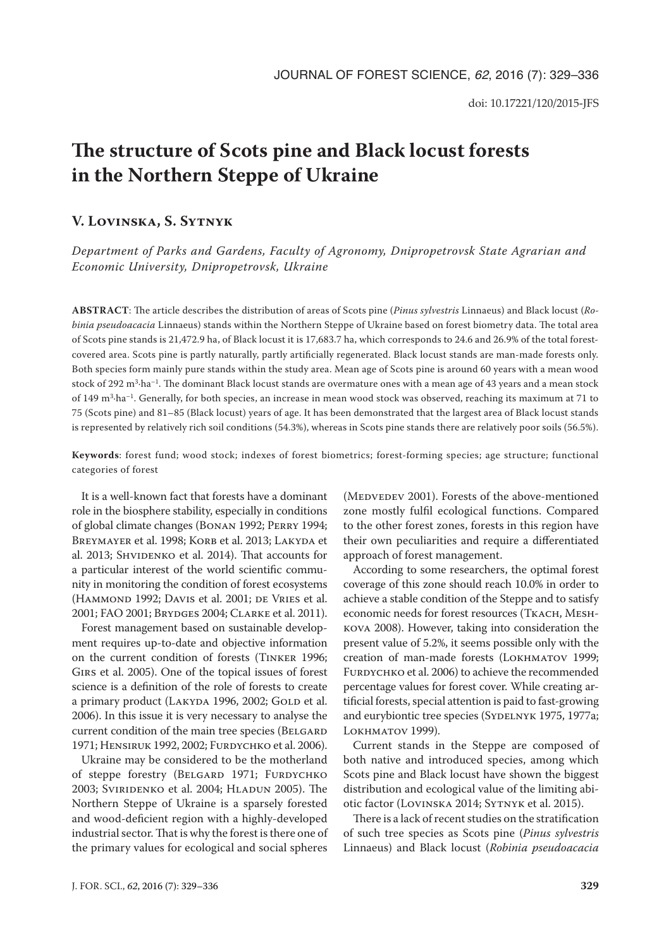# **The structure of Scots pine and Black locust forests in the Northern Steppe of Ukraine**

## **V. Lovinska, S. Sytnyk**

*Department of Parks and Gardens, Faculty of Agronomy, Dnipropetrovsk State Agrarian and Economic University, Dnipropetrovsk, Ukraine*

**ABSTRACT**: The article describes the distribution of areas of Scots pine (*Pinus sylvestris* Linnaeus) and Black locust (*Robinia pseudoacacia* Linnaeus) stands within the Northern Steppe of Ukraine based on forest biometry data. The total area of Scots pine stands is 21,472.9 ha, of Black locust it is 17,683.7 ha, which corresponds to 24.6 and 26.9% of the total forestcovered area. Scots pine is partly naturally, partly artificially regenerated. Black locust stands are man-made forests only. Both species form mainly pure stands within the study area. Mean age of Scots pine is around 60 years with a mean wood stock of 292 m<sup>3</sup>·ha<sup>-1</sup>. The dominant Black locust stands are overmature ones with a mean age of 43 years and a mean stock of 149 m<sup>3</sup>·ha<sup>-1</sup>. Generally, for both species, an increase in mean wood stock was observed, reaching its maximum at 71 to 75 (Scots pine) and 81–85 (Black locust) years of age. It has been demonstrated that the largest area of Black locust stands is represented by relatively rich soil conditions (54.3%), whereas in Scots pine stands there are relatively poor soils (56.5%).

**Keywords**: forest fund; wood stock; indexes of forest biometrics; forest-forming species; age structure; functional categories of forest

It is a well-known fact that forests have a dominant role in the biosphere stability, especially in conditions of global climate changes (Bonan 1992; Perry 1994; BREYMAYER et al. 1998; KORB et al. 2013; LAKYDA et al. 2013; SHVIDENKO et al. 2014). That accounts for a particular interest of the world scientific community in monitoring the condition of forest ecosystems (HAMMOND 1992; DAVIS et al. 2001; DE VRIES et al. 2001; FAO 2001; Brydges 2004; Clarke et al. 2011).

Forest management based on sustainable development requires up-to-date and objective information on the current condition of forests (Tinker 1996; Girs et al. 2005). One of the topical issues of forest science is a definition of the role of forests to create a primary product (LAKYDA 1996, 2002; GOLD et al. 2006). In this issue it is very necessary to analyse the current condition of the main tree species (BELGARD 1971; Hensiruk 1992, 2002; Furdychko et al. 2006).

Ukraine may be considered to be the motherland of steppe forestry (BELGARD 1971; FURDYCHKO 2003; Sviridenko et al. 2004; Hladun 2005). The Northern Steppe of Ukraine is a sparsely forested and wood-deficient region with a highly-developed industrial sector. That is why the forest is there one of the primary values for ecological and social spheres

(MEDVEDEV 2001). Forests of the above-mentioned zone mostly fulfil ecological functions. Compared to the other forest zones, forests in this region have their own peculiarities and require a differentiated approach of forest management.

According to some researchers, the optimal forest coverage of this zone should reach 10.0% in order to achieve a stable condition of the Steppe and to satisfy economic needs for forest resources (Tkach, Meshkova 2008). However, taking into consideration the present value of 5.2%, it seems possible only with the creation of man-made forests (Lokhmatov 1999; FURDYCHKO et al. 2006) to achieve the recommended percentage values for forest cover. While creating artificial forests, special attention is paid to fast-growing and eurybiontic tree species (SYDELNYK 1975, 1977a; LOKHMATOV 1999).

Current stands in the Steppe are composed of both native and introduced species, among which Scots pine and Black locust have shown the biggest distribution and ecological value of the limiting abiotic factor (Lovinska 2014; Sytnyk et al. 2015).

There is a lack of recent studies on the stratification of such tree species as Scots pine (*Pinus sylvestris*  Linnaeus) and Black locust (*Robinia pseudoacacia*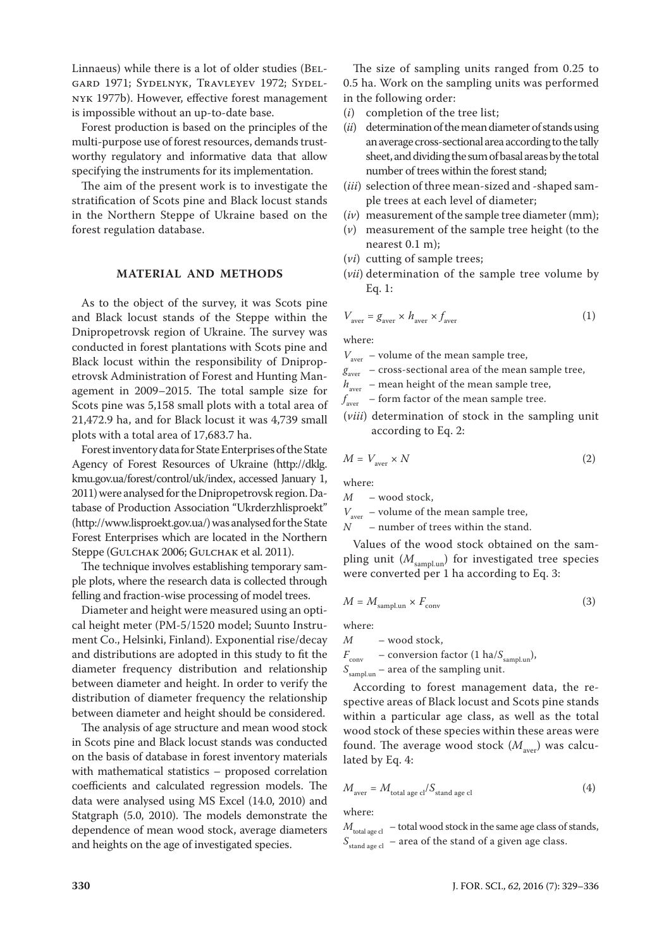Linnaeus) while there is a lot of older studies (Belgard 1971; Sydelnyk, Travleyev 1972; Sydelnyk 1977b). However, effective forest management is impossible without an up-to-date base.

Forest production is based on the principles of the multi-purpose use of forest resources, demands trustworthy regulatory and informative data that allow specifying the instruments for its implementation.

The aim of the present work is to investigate the stratification of Scots pine and Black locust stands in the Northern Steppe of Ukraine based on the forest regulation database.

#### **MATERIAL AND METHODS**

As to the object of the survey, it was Scots pine and Black locust stands of the Steppe within the Dnipropetrovsk region of Ukraine. The survey was conducted in forest plantations with Scots pine and Black locust within the responsibility of Dnipropetrovsk Administration of Forest and Hunting Management in 2009–2015. The total sample size for Scots pine was 5,158 small plots with a total area of 21,472.9 ha, and for Black locust it was 4,739 small plots with a total area of 17,683.7 ha.

Forest inventory data for State Enterprises of the State Agency of Forest Resources of Ukraine (http://dklg. kmu.gov.ua/forest/control/uk/index, accessed January 1, 2011) were analysed for the Dnipropetrovsk region. Database of Production Association "Ukrderzhlisproekt" (http://www.lisproekt.gov.ua/) was analysed for the State Forest Enterprises which are located in the Northern Steppe (GULCHAK 2006; GULCHAK et al. 2011).

The technique involves establishing temporary sample plots, where the research data is collected through felling and fraction-wise processing of model trees.

Diameter and height were measured using an optical height meter (PM-5/1520 model; Suunto Instrument Co., Helsinki, Finland). Exponential rise/decay and distributions are adopted in this study to fit the diameter frequency distribution and relationship between diameter and height. In order to verify the distribution of diameter frequency the relationship between diameter and height should be considered.

The analysis of age structure and mean wood stock in Scots pine and Black locust stands was conducted on the basis of database in forest inventory materials with mathematical statistics – proposed correlation coefficients and calculated regression models. The data were analysed using MS Excel (14.0, 2010) and Statgraph (5.0, 2010). The models demonstrate the dependence of mean wood stock, average diameters and heights on the age of investigated species.

The size of sampling units ranged from 0.25 to 0.5 ha. Work on the sampling units was performed in the following order:

- (*i*) completion of the tree list;
- (*ii*) determination of the mean diameter of stands using an average cross-sectional area according to the tally sheet, and dividing the sum of basal areas by the total number of trees within the forest stand;
- (*iii*) selection of three mean-sized and -shaped sample trees at each level of diameter;
- (*iv*) measurement of the sample tree diameter (mm);
- (*v*) measurement of the sample tree height (to the nearest 0.1 m);
- (*vi*) cutting of sample trees;
- (*vii*) determination of the sample tree volume by Eq. 1:

$$
V_{\text{aver}} = g_{\text{aver}} \times h_{\text{aver}} \times f_{\text{aver}} \tag{1}
$$

where:

 $V_{\text{aver}}$  – volume of the mean sample tree,

- $g<sub>aver</sub>$  cross-sectional area of the mean sample tree,
- $h_{\text{aver}}$  mean height of the mean sample tree,

*f* aver – form factor of the mean sample tree.

(*viii*) determination of stock in the sampling unit according to Eq. 2:

$$
M = V_{\text{aver}} \times N \tag{2}
$$

where:

*M* – wood stock,

 $V_{\text{aver}}$  – volume of the mean sample tree,<br> $N$  – number of trees within the stand - number of trees within the stand.

Values of the wood stock obtained on the sampling unit ( $M_{\text{sampling}}$ ) for investigated tree species were converted per 1 ha according to Eq. 3:

$$
M = M_{\text{sampling}} \times F_{\text{conv}} \tag{3}
$$

where:

*M* – wood stock,  $F_{\text{conv}}$  – conversion factor (1 ha/ $S_{\text{sampling}}$ ),

*S*sampl.un – area of the sampling unit.

According to forest management data, the respective areas of Black locust and Scots pine stands within a particular age class, as well as the total wood stock of these species within these areas were found. The average wood stock  $(M_{\text{aver}})$  was calculated by Eq. 4:

$$
M_{\text{aver}} = M_{\text{total age cl}} / S_{\text{stand age cl}} \tag{4}
$$

where:

 $M_{\text{total age cl}}$  – total wood stock in the same age class of stands, *S*stand age cl – area of the stand of a given age class.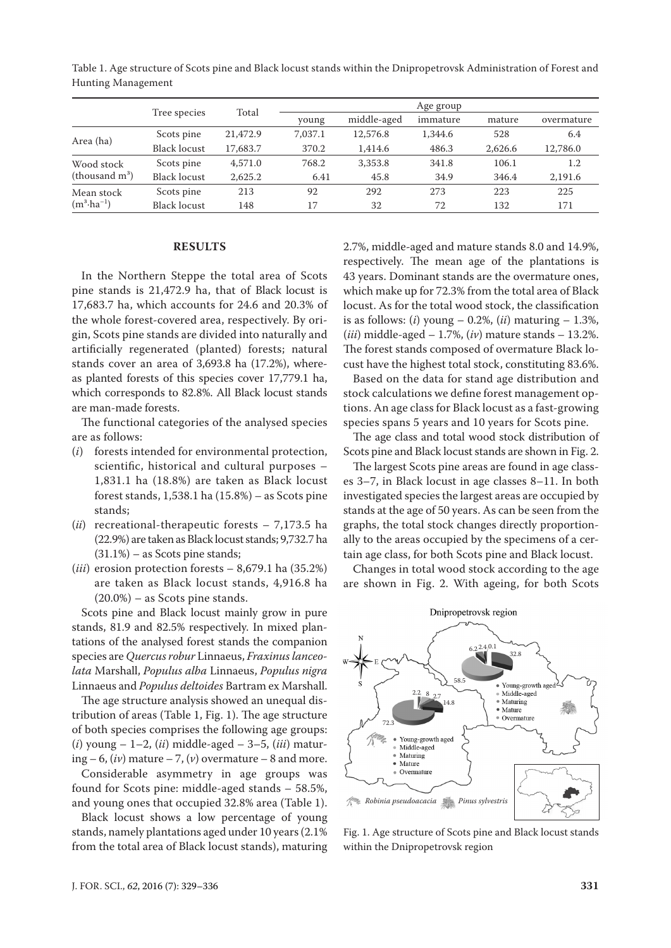|                                     | Tree species        | Total    | Age group |             |          |         |            |
|-------------------------------------|---------------------|----------|-----------|-------------|----------|---------|------------|
|                                     |                     |          | young     | middle-aged | immature | mature  | overmature |
| Area (ha)                           | Scots pine          | 21,472.9 | 7.037.1   | 12,576.8    | 1,344.6  | 528     | 6.4        |
|                                     | <b>Black locust</b> | 17,683.7 | 370.2     | 1,414.6     | 486.3    | 2,626.6 | 12,786.0   |
| Wood stock<br>(thousand $m^3$ )     | Scots pine          | 4,571.0  | 768.2     | 3,353.8     | 341.8    | 106.1   | 1.2        |
|                                     | <b>Black locust</b> | 2,625.2  | 6.41      | 45.8        | 34.9     | 346.4   | 2,191.6    |
| Mean stock<br>$(m^3 \cdot ha^{-1})$ | Scots pine          | 213      | 92        | 292         | 273      | 223     | 225        |
|                                     | <b>Black locust</b> | 148      | 17        | 32          | 72       | 132     | 171        |

Table 1. Age structure of Scots pine and Black locust stands within the Dnipropetrovsk Administration of Forest and Hunting Management

### **RESULTS**

In the Northern Steppe the total area of Scots pine stands is 21,472.9 ha, that of Black locust is 17,683.7 ha, which accounts for 24.6 and 20.3% of the whole forest-covered area, respectively. By origin, Scots pine stands are divided into naturally and artificially regenerated (planted) forests; natural stands cover an area of 3,693.8 ha (17.2%), whereas planted forests of this species cover 17,779.1 ha, which corresponds to 82.8%. All Black locust stands are man-made forests.

The functional categories of the analysed species are as follows:

- (*i*) forests intended for environmental protection, scientific, historical and cultural purposes – 1,831.1 ha (18.8%) are taken as Black locust forest stands,  $1,538.1$  ha  $(15.8%)$  – as Scots pine stands;
- (*ii*) recreational-therapeutic forests 7,173.5 ha (22.9%) are taken as Black locust stands; 9,732.7 ha (31.1%) – as Scots pine stands;
- (*iii*) erosion protection forests 8,679.1 ha (35.2%) are taken as Black locust stands, 4,916.8 ha (20.0%) – as Scots pine stands.

Scots pine and Black locust mainly grow in pure stands, 81.9 and 82.5% respectively. In mixed plantations of the analysed forest stands the companion species are *Quercus robur* Linnaeus, *Fraxinus lanceolata* Marshall, *Populus alba* Linnaeus, *Populus nigra*  Linnaeus and *Populus deltoides* Bartram ex Marshall.

The age structure analysis showed an unequal distribution of areas (Table 1, Fig. 1). The age structure of both species comprises the following age groups: (*i*) young – 1–2, (*ii*) middle-aged – 3–5, (*iii*) maturing  $-6$ ,  $(iv)$  mature  $-7$ ,  $(v)$  overmature  $-8$  and more.

Considerable asymmetry in age groups was found for Scots pine: middle-aged stands – 58.5%, and young ones that occupied 32.8% area (Table 1).

Black locust shows a low percentage of young stands, namely plantations aged under 10 years (2.1% from the total area of Black locust stands), maturing 2.7%, middle-aged and mature stands 8.0 and 14.9%, respectively. The mean age of the plantations is 43 years. Dominant stands are the overmature ones, which make up for 72.3% from the total area of Black locust. As for the total wood stock, the classification is as follows: (*i*) young – 0.2%, (*ii*) maturing – 1.3%, (*iii*) middle-aged – 1.7%, (*iv*) mature stands – 13.2%. The forest stands composed of overmature Black locust have the highest total stock, constituting 83.6%.

Based on the data for stand age distribution and stock calculations we define forest management options. An age class for Black locust as a fast-growing species spans 5 years and 10 years for Scots pine.

The age class and total wood stock distribution of Scots pine and Black locust stands are shown in Fig. 2.

The largest Scots pine areas are found in age classes 3–7, in Black locust in age classes 8–11. In both investigated species the largest areas are occupied by stands at the age of 50 years. As can be seen from the graphs, the total stock changes directly proportionally to the areas occupied by the specimens of a certain age class, for both Scots pine and Black locust.

Changes in total wood stock according to the age are shown in Fig. 2. With ageing, for both Scots



Fig. 1. Age structure of Scots pine and Black locust stands within the Dnipropetrovsk region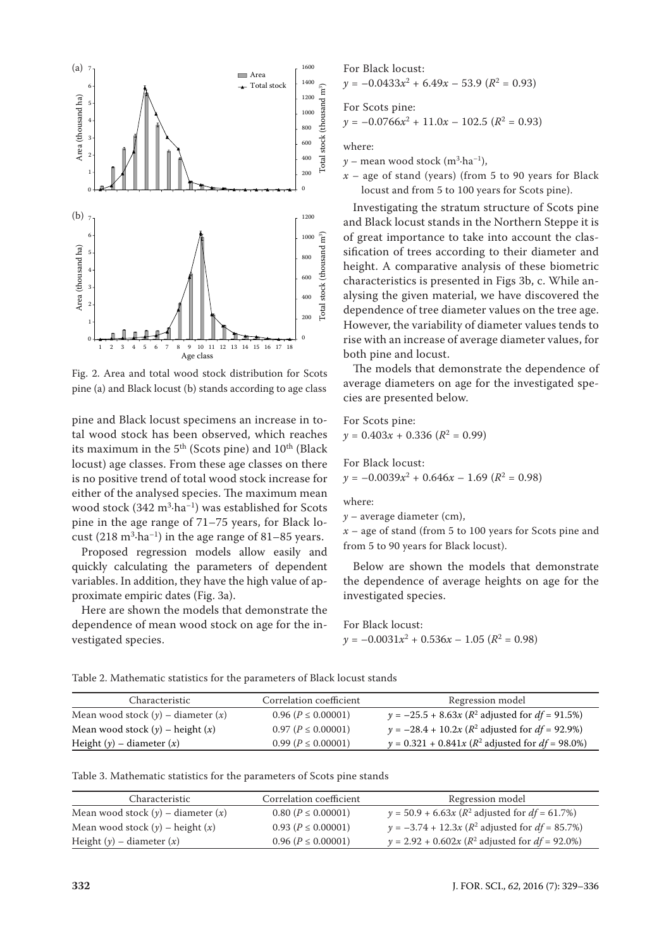

Fig. 2. Area and total wood stock distribution for Scots pine (a) and Black locust (b) stands according to age class

pine and Black locust specimens an increase in total wood stock has been observed, which reaches its maximum in the  $5<sup>th</sup>$  (Scots pine) and  $10<sup>th</sup>$  (Black locust) age classes. From these age classes on there is no positive trend of total wood stock increase for either of the analysed species. The maximum mean wood stock  $(342 \text{ m}^3 \cdot \text{ha}^{-1})$  was established for Scots pine in the age range of 71–75 years, for Black locust  $(218 \text{ m}^3 \cdot \text{ha}^{-1})$  in the age range of  $81-85$  years.

Proposed regression models allow easily and quickly calculating the parameters of dependent variables. In addition, they have the high value of approximate empiric dates (Fig. 3a).

Here are shown the models that demonstrate the dependence of mean wood stock on age for the investigated species.

For Black locust:  $\gamma = -0.0433x^2 + 6.49x - 53.9$  ( $R^2 = 0.93$ ) For Scots pine:  $y = -0.0766x^2 + 11.0x - 102.5 (R^2 = 0.93)$ 

where:

 $\gamma$  – mean wood stock (m<sup>3</sup>·ha<sup>-1</sup>),

 $x -$  age of stand (years) (from 5 to 90 years for Black locust and from 5 to 100 years for Scots pine).

Investigating the stratum structure of Scots pine and Black locust stands in the Northern Steppe it is of great importance to take into account the classification of trees according to their diameter and height. A comparative analysis of these biometric characteristics is presented in Figs 3b, c. While analysing the given material, we have discovered the dependence of tree diameter values on the tree age. However, the variability of diameter values tends to rise with an increase of average diameter values, for both pine and locust.

The models that demonstrate the dependence of average diameters on age for the investigated species are presented below.

For Scots pine:  $y = 0.403x + 0.336 (R^2 = 0.99)$ 

For Black locust:  $\gamma = -0.0039x^2 + 0.646x - 1.69$  ( $R^2 = 0.98$ )

where:

*y* – average diameter (cm),

*x* – age of stand (from 5 to 100 years for Scots pine and from 5 to 90 years for Black locust).

Below are shown the models that demonstrate the dependence of average heights on age for the investigated species.

For Black locust:  $y = -0.0031x^2 + 0.536x - 1.05 (R^2 = 0.98)$ 

| Table 2. Mathematic statistics for the parameters of Black locust stands |  |
|--------------------------------------------------------------------------|--|
|--------------------------------------------------------------------------|--|

| Characteristic                         | Correlation coefficient | Regression model                                             |
|----------------------------------------|-------------------------|--------------------------------------------------------------|
| Mean wood stock $(y)$ – diameter $(x)$ | $0.96 (P \le 0.00001)$  | $y = -25.5 + 8.63x (R^2 \text{ adjusted for } df = 91.5\%)$  |
| Mean wood stock $(y)$ – height $(x)$   | $0.97 (P \le 0.00001)$  | $y = -28.4 + 10.2x$ ( $R^2$ adjusted for $df = 92.9\%$ )     |
| Height $(y)$ – diameter $(x)$          | $0.99 (P \le 0.00001)$  | $y = 0.321 + 0.841x (R^2 \text{ adjusted for } df = 98.0\%)$ |

| Characteristic                         | Correlation coefficient | Regression model                                           |
|----------------------------------------|-------------------------|------------------------------------------------------------|
| Mean wood stock $(y)$ – diameter $(x)$ | $0.80 (P \le 0.00001)$  | $y = 50.9 + 6.63x (R^2 \text{ adjusted for } df = 61.7\%)$ |
| Mean wood stock $(y)$ – height $(x)$   | $0.93 (P \le 0.00001)$  | $y = -3.74 + 12.3x$ ( $R^2$ adjusted for $df = 85.7\%$ )   |
| Height $(y)$ – diameter $(x)$          | $0.96 (P \le 0.00001)$  | $y = 2.92 + 0.602x$ ( $R^2$ adjusted for $df = 92.0\%$ )   |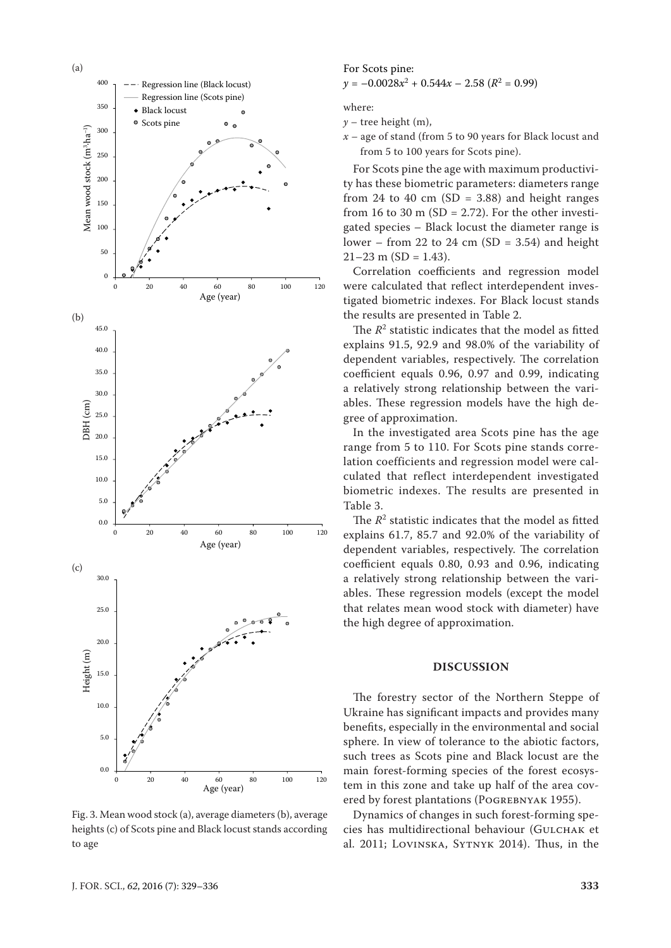

Fig. 3. Mean wood stock (a), average diameters (b), average heights (c) of Scots pine and Black locust stands according to age

#### For Scots pine:

$$
y = -0.0028x^2 + 0.544x - 2.58 \ (R^2 = 0.99)
$$

where:

 $y$  – tree height (m),

*x* – age of stand (from 5 to 90 years for Black locust and from 5 to 100 years for Scots pine).

For Scots pine the age with maximum productivity has these biometric parameters: diameters range from 24 to 40 cm (SD = 3.88) and height ranges from 16 to 30 m (SD = 2.72). For the other investigated species – Black locust the diameter range is lower – from 22 to 24 cm  $(SD = 3.54)$  and height  $21-23$  m (SD = 1.43).

Correlation coefficients and regression model were calculated that reflect interdependent investigated biometric indexes. For Black locust stands the results are presented in Table 2.

The  $R^2$  statistic indicates that the model as fitted explains 91.5, 92.9 and 98.0% of the variability of dependent variables, respectively. The correlation coefficient equals 0.96, 0.97 and 0.99, indicating a relatively strong relationship between the variables. These regression models have the high degree of approximation.

In the investigated area Scots pine has the age range from 5 to 110. For Scots pine stands correlation coefficients and regression model were calculated that reflect interdependent investigated biometric indexes. The results are presented in Table 3.

The  $R^2$  statistic indicates that the model as fitted explains 61.7, 85.7 and 92.0% of the variability of dependent variables, respectively. The correlation coefficient equals 0.80, 0.93 and 0.96, indicating a relatively strong relationship between the variables. These regression models (except the model that relates mean wood stock with diameter) have the high degree of approximation.

## **DISCUSSION**

The forestry sector of the Northern Steppe of Ukraine has significant impacts and provides many benefits, especially in the environmental and social sphere. In view of tolerance to the abiotic factors, such trees as Scots pine and Black locust are the main forest-forming species of the forest ecosystem in this zone and take up half of the area covered by forest plantations (Pogrebnyak 1955).

Dynamics of changes in such forest-forming species has multidirectional behaviour (GULCHAK et al. 2011; Lovinska, Sytnyk 2014). Thus, in the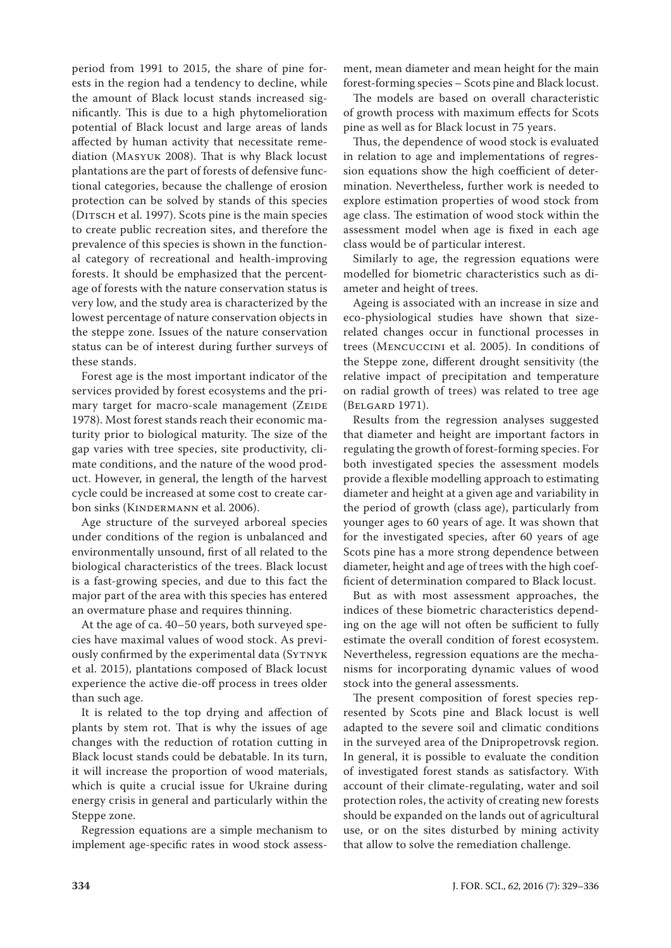period from 1991 to 2015, the share of pine forests in the region had a tendency to decline, while the amount of Black locust stands increased significantly. This is due to a high phytomelioration potential of Black locust and large areas of lands affected by human activity that necessitate remediation (Masyuk 2008). That is why Black locust plantations are the part of forests of defensive functional categories, because the challenge of erosion protection can be solved by stands of this species (DITSCH et al. 1997). Scots pine is the main species to create public recreation sites, and therefore the prevalence of this species is shown in the functional category of recreational and health-improving forests. It should be emphasized that the percentage of forests with the nature conservation status is very low, and the study area is characterized by the lowest percentage of nature conservation objects in the steppe zone. Issues of the nature conservation status can be of interest during further surveys of these stands.

Forest age is the most important indicator of the services provided by forest ecosystems and the primary target for macro-scale management (ZEIDE 1978). Most forest stands reach their economic maturity prior to biological maturity. The size of the gap varies with tree species, site productivity, climate conditions, and the nature of the wood product. However, in general, the length of the harvest cycle could be increased at some cost to create carbon sinks (KINDERMANN et al. 2006).

Age structure of the surveyed arboreal species under conditions of the region is unbalanced and environmentally unsound, first of all related to the biological characteristics of the trees. Black locust is a fast-growing species, and due to this fact the major part of the area with this species has entered an overmature phase and requires thinning.

At the age of ca. 40–50 years, both surveyed species have maximal values of wood stock. As previously confirmed by the experimental data (SYTNYK et al. 2015), plantations composed of Black locust experience the active die-off process in trees older than such age.

It is related to the top drying and affection of plants by stem rot. That is why the issues of age changes with the reduction of rotation cutting in Black locust stands could be debatable. In its turn, it will increase the proportion of wood materials, which is quite a crucial issue for Ukraine during energy crisis in general and particularly within the Steppe zone.

Regression equations are a simple mechanism to implement age-specific rates in wood stock assess-

ment, mean diameter and mean height for the main forest-forming species – Scots pine and Black locust.

The models are based on overall characteristic of growth process with maximum effects for Scots pine as well as for Black locust in 75 years.

Thus, the dependence of wood stock is evaluated in relation to age and implementations of regression equations show the high coefficient of determination. Nevertheless, further work is needed to explore estimation properties of wood stock from age class. The estimation of wood stock within the assessment model when age is fixed in each age class would be of particular interest.

Similarly to age, the regression equations were modelled for biometric characteristics such as diameter and height of trees.

Ageing is associated with an increase in size and eco-physiological studies have shown that sizerelated changes occur in functional processes in trees (Mencuccini et al. 2005). In conditions of the Steppe zone, different drought sensitivity (the relative impact of precipitation and temperature on radial growth of trees) was related to tree age (Belgard 1971).

Results from the regression analyses suggested that diameter and height are important factors in regulating the growth of forest-forming species. For both investigated species the assessment models provide a flexible modelling approach to estimating diameter and height at a given age and variability in the period of growth (class age), particularly from younger ages to 60 years of age. It was shown that for the investigated species, after 60 years of age Scots pine has a more strong dependence between diameter, height and age of trees with the high coefficient of determination compared to Black locust.

But as with most assessment approaches, the indices of these biometric characteristics depending on the age will not often be sufficient to fully estimate the overall condition of forest ecosystem. Nevertheless, regression equations are the mechanisms for incorporating dynamic values of wood stock into the general assessments.

The present composition of forest species represented by Scots pine and Black locust is well adapted to the severe soil and climatic conditions in the surveyed area of the Dnipropetrovsk region. In general, it is possible to evaluate the condition of investigated forest stands as satisfactory. With account of their climate-regulating, water and soil protection roles, the activity of creating new forests should be expanded on the lands out of agricultural use, or on the sites disturbed by mining activity that allow to solve the remediation challenge.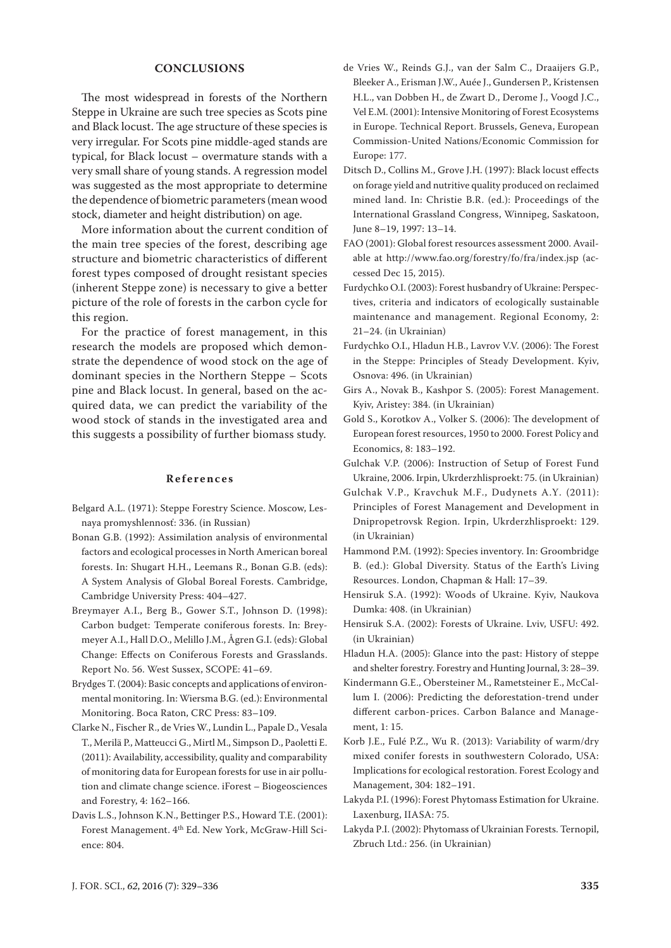## **CONCLUSIONS**

The most widespread in forests of the Northern Steppe in Ukraine are such tree species as Scots pine and Black locust. The age structure of these species is very irregular. For Scots pine middle-aged stands are typical, for Black locust – overmature stands with a very small share of young stands. A regression model was suggested as the most appropriate to determine the dependence of biometric parameters (mean wood stock, diameter and height distribution) on age.

More information about the current condition of the main tree species of the forest, describing age structure and biometric characteristics of different forest types composed of drought resistant species (inherent Steppe zone) is necessary to give a better picture of the role of forests in the carbon cycle for this region.

For the practice of forest management, in this research the models are proposed which demonstrate the dependence of wood stock on the age of dominant species in the Northern Steppe – Scots pine and Black locust. In general, based on the acquired data, we can predict the variability of the wood stock of stands in the investigated area and this suggests a possibility of further biomass study.

#### **References**

- Belgard A.L. (1971): Steppe Forestry Science. Moscow, Lesnaya promyshlennosť: 336. (in Russian)
- Bonan G.B. (1992): Assimilation analysis of environmental factors and ecological processes in North American boreal forests. In: Shugart H.H., Leemans R., Bonan G.B. (eds): A System Analysis of Global Boreal Forests. Cambridge, Cambridge University Press: 404–427.
- Breymayer A.I., Berg B., Gower S.T., Johnson D. (1998): Carbon budget: Temperate coniferous forests. In: Breymeyer A.I., Hall D.O., Melillo J.M., Ågren G.I. (eds): Global Change: Effects on Coniferous Forests and Grasslands. Report No. 56. West Sussex, SCOPE: 41–69.
- Brydges T. (2004): Basic concepts and applications of environmental monitoring. In: Wiersma B.G. (ed.): Environmental Monitoring. Boca Raton, CRC Press: 83–109.
- Clarke N., Fischer R., de Vries W., Lundin L., Papale D., Vesala T., Merilä P., Matteucci G., Mirtl M., Simpson D., Paoletti E. (2011): Availability, accessibility, quality and comparability of monitoring data for European forests for use in air pollution and climate change science. iForest – Biogeosciences and Forestry, 4: 162–166.
- Davis L.S., Johnson K.N., Bettinger P.S., Howard T.E. (2001): Forest Management. 4th Ed. New York, McGraw-Hill Science: 804.
- de Vries W., Reinds G.J., van der Salm C., Draaijers G.P., Bleeker A., Erisman J.W., Auée J., Gundersen P., Kristensen H.L., van Dobben H., de Zwart D., Derome J., Voogd J.C., Vel E.M. (2001): Intensive Monitoring of Forest Ecosystems in Europe. Technical Report. Brussels, Geneva, European Commission-United Nations/Economic Commission for Europe: 177.
- Ditsch D., Collins M., Grove J.H. (1997): Black locust effects on forage yield and nutritive quality produced on reclaimed mined land. In: Christie B.R. (ed.): Proceedings of the International Grassland Congress, Winnipeg, Saskatoon, June 8–19, 1997: 13–14.
- FAO (2001): Global forest resources assessment 2000. Available at http://www.fao.org/forestry/fo/fra/index.jsp (accessed Dec 15, 2015).
- Furdychko O.I. (2003): Forest husbandry of Ukraine: Perspectives, criteria and indicators of ecologically sustainable maintenance and management. Regional Economy, 2: 21–24. (in Ukrainian)
- Furdychko O.I., Hladun H.B., Lavrov V.V. (2006): The Forest in the Steppe: Principles of Steady Development. Kyiv, Osnova: 496. (in Ukrainian)
- Girs A., Novak B., Kashpor S. (2005): Forest Management. Kyiv, Aristey: 384. (in Ukrainian)
- Gold S., Korotkov A., Volker S. (2006): The development of European forest resources, 1950 to 2000. Forest Policy and Economics, 8: 183–192.
- Gulchak V.P. (2006): Instruction of Setup of Forest Fund Ukraine, 2006. Irpin, Ukrderzhlisproekt: 75. (in Ukrainian)
- Gulchak V.P., Kravchuk M.F., Dudynets A.Y. (2011): Principles of Forest Management and Development in Dnipropetrovsk Region. Irpin, Ukrderzhlisproekt: 129. (in Ukrainian)
- Hammond P.M. (1992): Species inventory. In: Groombridge B. (ed.): Global Diversity. Status of the Earth's Living Resources. London, Chapman & Hall: 17–39.
- Hensiruk S.A. (1992): Woods of Ukraine. Kyiv, Naukova Dumka: 408. (in Ukrainian)
- Hensiruk S.A. (2002): Forests of Ukraine. Lviv, USFU: 492. (in Ukrainian)
- Hladun H.A. (2005): Glance into the past: History of steppe and shelter forestry. Forestry and Hunting Journal, 3: 28–39.
- Kindermann G.E., Obersteiner M., Rametsteiner E., McCallum I. (2006): Predicting the deforestation-trend under different carbon-prices. Carbon Balance and Management, 1: 15.
- Korb J.E., Fulé P.Z., Wu R. (2013): Variability of warm/dry mixed conifer forests in southwestern Colorado, USA: Implications for ecological restoration. Forest Ecology and Management, 304: 182–191.
- Lakyda P.I. (1996): Forest Phytomass Estimation for Ukraine. Laxenburg, IIASA: 75.
- Lakyda P.I. (2002): Phytomass of Ukrainian Forests. Ternopil, Zbruch Ltd.: 256. (in Ukrainian)